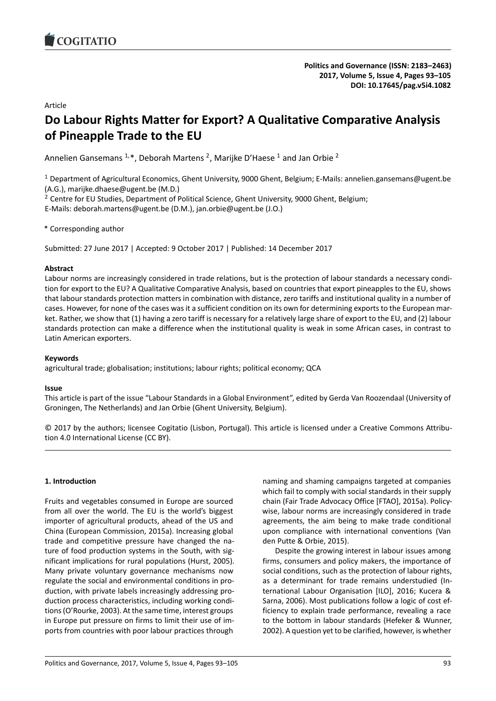# Article

# **Do Labour Rights Matter for Export? A Qualitative Comparative Analysis of Pineapple Trade to the EU**

Annelien Gansemans  $^{1,*}$ , Deborah Martens <sup>2</sup>, Marijke D'Haese <sup>1</sup> and Jan Orbie <sup>2</sup>

<sup>1</sup> Department of Agricultural Economics, Ghent University, 9000 Ghent, Belgium; E-Mails: annelien.gansemans@ugent.be (A.G.), marijke.dhaese@ugent.be (M.D.)

 $<sup>2</sup>$  Centre for EU Studies, Department of Political Science, Ghent University, 9000 Ghent, Belgium;</sup>

E-Mails: deborah.martens@ugent.be (D.M.), jan.orbie@ugent.be (J.O.)

\* Corresponding author

Submitted: 27 June 2017 | Accepted: 9 October 2017 | Published: 14 December 2017

### **Abstract**

Labour norms are increasingly considered in trade relations, but is the protection of labour standards a necessary condition for export to the EU? A Qualitative Comparative Analysis, based on countries that export pineapples to the EU, shows that labour standards protection matters in combination with distance, zero tariffs and institutional quality in a number of cases. However, for none of the cases was it a sufficient condition on its own for determining exports to the European market. Rather, we show that (1) having a zero tariff is necessary for a relatively large share of export to the EU, and (2) labour standards protection can make a difference when the institutional quality is weak in some African cases, in contrast to Latin American exporters.

### **Keywords**

agricultural trade; globalisation; institutions; labour rights; political economy; QCA

### **Issue**

This article is part of the issue "Labour Standards in a Global Environment", edited by Gerda Van Roozendaal (University of Groningen, The Netherlands) and Jan Orbie (Ghent University, Belgium).

© 2017 by the authors; licensee Cogitatio (Lisbon, Portugal). This article is licensed under a Creative Commons Attribution 4.0 International License (CC BY).

## **1. Introduction**

Fruits and vegetables consumed in Europe are sourced from all over the world. The EU is the world's biggest importer of agricultural products, ahead of the US and China (European Commission, 2015a). Increasing global trade and competitive pressure have changed the nature of food production systems in the South, with significant implications for rural populations (Hurst, 2005). Many private voluntary governance mechanisms now regulate the social and environmental conditions in production, with private labels increasingly addressing production process characteristics, including working conditions (O'Rourke, 2003). At the same time, interest groups in Europe put pressure on firms to limit their use of imports from countries with poor labour practices through

naming and shaming campaigns targeted at companies which fail to comply with social standards in their supply chain (Fair Trade Advocacy Office [FTAO], 2015a). Policywise, labour norms are increasingly considered in trade agreements, the aim being to make trade conditional upon compliance with international conventions (Van den Putte & Orbie, 2015).

Despite the growing interest in labour issues among firms, consumers and policy makers, the importance of social conditions, such as the protection of labour rights, as a determinant for trade remains understudied (International Labour Organisation [ILO], 2016; Kucera & Sarna, 2006). Most publications follow a logic of cost efficiency to explain trade performance, revealing a race to the bottom in labour standards (Hefeker & Wunner, 2002). A question yet to be clarified, however, is whether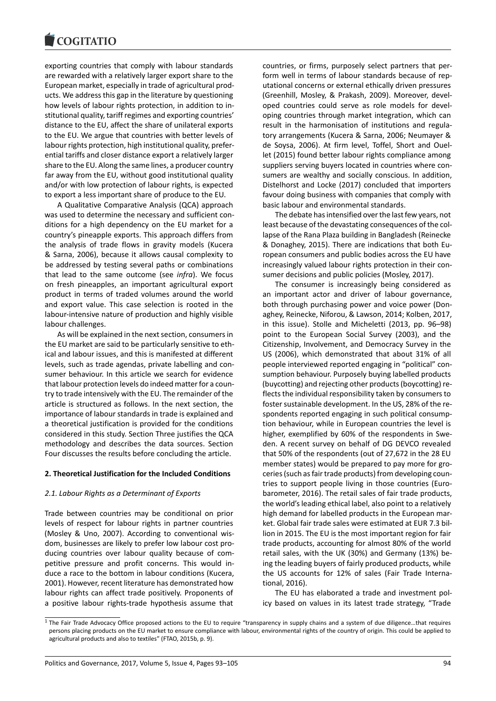#### **COMMITMENT**

exporting countries that comply with labour standards are rewarded with a relatively larger export share to the European market, especially in trade of agricultural products. We address this gap in the literature by questioning how levels of labour rights protection, in addition to institutional quality, tariff regimes and exporting countries' distance to the EU, affect the share of unilateral exports to the EU. We argue that countries with better levels of labour rights protection, high institutional quality, preferential tariffs and closer distance export a relatively larger share to the EU. Along the same lines, a producer country far away from the EU, without good institutional quality and/or with low protection of labour rights, is expected to export a less important share of produce to the EU.

A Qualitative Comparative Analysis (QCA) approach was used to determine the necessary and sufficient conditions for a high dependency on the EU market for a country's pineapple exports. This approach differs from the analysis of trade flows in gravity models (Kucera & Sarna, 2006), because it allows causal complexity to be addressed by testing several paths or combinations that lead to the same outcome (see *infra*). We focus on fresh pineapples, an important agricultural export product in terms of traded volumes around the world and export value. This case selection is rooted in the labour-intensive nature of production and highly visible labour challenges.

As will be explained in the next section, consumers in the EU market are said to be particularly sensitive to ethical and labour issues, and this is manifested at different levels, such as trade agendas, private labelling and consumer behaviour. In this article we search for evidence that labour protection levels do indeed matter for a country to trade intensively with the EU. The remainder of the article is structured as follows. In the next section, the importance of labour standards in trade is explained and a theoretical justification is provided for the conditions considered in this study. Section Three justifies the QCA methodology and describes the data sources. Section Four discusses the results before concluding the article.

### **2. Theoretical Justification for the Included Conditions**

### *2.1. Labour Rights as a Determinant of Exports*

Trade between countries may be conditional on prior levels of respect for labour rights in partner countries (Mosley & Uno, 2007). According to conventional wisdom, businesses are likely to prefer low labour cost producing countries over labour quality because of competitive pressure and profit concerns. This would induce a race to the bottom in labour conditions (Kucera, 2001). However, recent literature has demonstrated how labour rights can affect trade positively. Proponents of a positive labour rights-trade hypothesis assume that countries, or firms, purposely select partners that perform well in terms of labour standards because of reputational concerns or external ethically driven pressures (Greenhill, Mosley, & Prakash, 2009). Moreover, developed countries could serve as role models for developing countries through market integration, which can result in the harmonisation of institutions and regulatory arrangements (Kucera & Sarna, 2006; Neumayer & de Soysa, 2006). At firm level, Toffel, Short and Ouellet (2015) found better labour rights compliance among suppliers serving buyers located in countries where consumers are wealthy and socially conscious. In addition, Distelhorst and Locke (2017) concluded that importers favour doing business with companies that comply with basic labour and environmental standards.

The debate has intensified over the last few years, not least because of the devastating consequences of the collapse of the Rana Plaza building in Bangladesh (Reinecke & Donaghey, 2015). There are indications that both European consumers and public bodies across the EU have increasingly valued labour rights protection in their consumer decisions and public policies (Mosley, 2017).

The consumer is increasingly being considered as an important actor and driver of labour governance, both through purchasing power and voice power (Donaghey, Reinecke, Niforou, & Lawson, 2014; Kolben, 2017, in this issue). Stolle and Micheletti (2013, pp. 96–98) point to the European Social Survey (2003), and the Citizenship, Involvement, and Democracy Survey in the US (2006), which demonstrated that about 31% of all people interviewed reported engaging in "political" consumption behaviour. Purposely buying labelled products (buycotting) and rejecting other products (boycotting) reflects the individual responsibility taken by consumers to foster sustainable development. In the US, 28% of the respondents reported engaging in such political consumption behaviour, while in European countries the level is higher, exemplified by 60% of the respondents in Sweden. A recent survey on behalf of DG DEVCO revealed that 50% of the respondents (out of 27,672 in the 28 EU member states) would be prepared to pay more for groceries (such as fair trade products) from developing countries to support people living in those countries (Eurobarometer, 2016). The retail sales of fair trade products, the world's leading ethical label, also point to a relatively high demand for labelled products in the European market. Global fair trade sales were estimated at EUR 7.3 billion in 2015. The EU is the most important region for fair trade products, accounting for almost 80% of the world retail sales, with the UK (30%) and Germany (13%) being the leading buyers of fairly produced products, while the US accounts for 12% of sales (Fair Trade International, 2016).

The EU has elaborated a trade and investment policy based on values in its latest trade strategy, "Trade

<span id="page-1-0"></span> $1$  The Fair Trade Advocacy Office proposed actions to the EU to require "transparency in supply chains and a system of due diligence...that requires persons placing products on the EU market to ensure compliance with labour, environmental rights of the country of origin. This could be applied to agricultural products and also to textiles" (FTAO, 2015b, p. 9).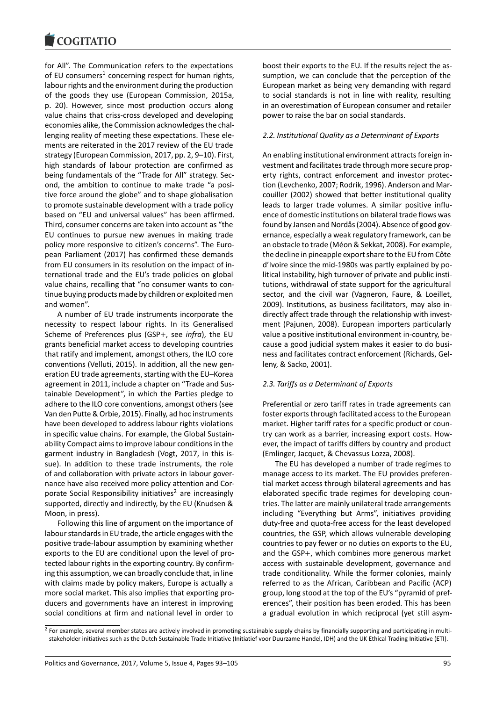for All". The Communication refers to the expectations of EU consumers<sup>1</sup> concerning respect for human rights, labour rights and the environment during the production of the goods they use (European Commission, 2015a, p. 20). However, since most production occurs along value chains tha[t c](#page-1-0)riss-cross developed and developing economies alike, the Commission acknowledges the challenging reality of meeting these expectations. These elements are reiterated in the 2017 review of the EU trade strategy (European Commission, 2017, pp. 2, 9–10). First, high standards of labour protection are confirmed as being fundamentals of the "Trade for All" strategy. Second, the ambition to continue to make trade "a positive force around the globe" and to shape globalisation to promote sustainable development with a trade policy based on "EU and universal values" has been affirmed. Third, consumer concerns are taken into account as "the EU continues to pursue new avenues in making trade policy more responsive to citizen's concerns". The European Parliament (2017) has confirmed these demands from EU consumers in its resolution on the impact of international trade and the EU's trade policies on global value chains, recalling that "no consumer wants to continue buying products made by children or exploited men and women".

A number of EU trade instruments incorporate the necessity to respect labour rights. In its Generalised Scheme of Preferences plus (GSP+, see *infra*), the EU grants beneficial market access to developing countries that ratify and implement, amongst others, the ILO core conventions (Velluti, 2015). In addition, all the new generation EU trade agreements, starting with the EU–Korea agreement in 2011, include a chapter on "Trade and Sustainable Development", in which the Parties pledge to adhere to the ILO core conventions, amongst others (see Van den Putte & Orbie, 2015). Finally, ad hoc instruments have been developed to address labour rights violations in specific value chains. For example, the Global Sustainability Compact aims to improve labour conditions in the garment industry in Bangladesh (Vogt, 2017, in this issue). In addition to these trade instruments, the role of and collaboration with private actors in labour governance have also received more policy attention and Corporate Social Responsibility initiatives<sup>2</sup> are increasingly supported, directly and indirectly, by the EU (Knudsen & Moon, in press).

Following this line of argument on the importance of labour standards in EU trade, the articl[e](#page-2-0) engages with the positive trade-labour assumption by examining whether exports to the EU are conditional upon the level of protected labour rights in the exporting country. By confirming this assumption, we can broadly conclude that, in line with claims made by policy makers, Europe is actually a more social market. This also implies that exporting producers and governments have an interest in improving social conditions at firm and national level in order to

boost their exports to the EU. If the results reject the assumption, we can conclude that the perception of the European market as being very demanding with regard to social standards is not in line with reality, resulting in an overestimation of European consumer and retailer power to raise the bar on social standards.

#### *2.2. Institutional Quality as a Determinant of Exports*

An enabling institutional environment attracts foreign investment and facilitates trade through more secure property rights, contract enforcement and investor protection (Levchenko, 2007; Rodrik, 1996). Anderson and Marcouiller (2002) showed that better institutional quality leads to larger trade volumes. A similar positive influence of domestic institutions on bilateral trade flows was found by Jansen and Nordås (2004). Absence of good governance, especially a weak regulatory framework, can be an obstacle to trade (Méon & Sekkat, 2008). For example, the decline in pineapple export share to the EU from Côte d'Ivoire since the mid-1980s was partly explained by political instability, high turnover of private and public institutions, withdrawal of state support for the agricultural sector, and the civil war (Vagneron, Faure, & Loeillet, 2009). Institutions, as business facilitators, may also indirectly affect trade through the relationship with investment (Pajunen, 2008). European importers particularly value a positive institutional environment in-country, because a good judicial system makes it easier to do business and facilitates contract enforcement (Richards, Gelleny, & Sacko, 2001).

#### *2.3. Tariffs as a Determinant of Exports*

Preferential or zero tariff rates in trade agreements can foster exports through facilitated access to the European market. Higher tariff rates for a specific product or country can work as a barrier, increasing export costs. However, the impact of tariffs differs by country and product (Emlinger, Jacquet, & Chevassus Lozza, 2008).

The EU has developed a number of trade regimes to manage access to its market. The EU provides preferential market access through bilateral agreements and has elaborated specific trade regimes for developing countries. The latter are mainly unilateral trade arrangements including "Everything but Arms", initiatives providing duty-free and quota-free access for the least developed countries, the GSP, which allows vulnerable developing countries to pay fewer or no duties on exports to the EU, and the GSP+, which combines more generous market access with sustainable development, governance and trade conditionality. While the former colonies, mainly referred to as the African, Caribbean and Pacific (ACP) group, long stood at the top of the EU's "pyramid of preferences", their position has been eroded. This has been a gradual evolution in which reciprocal (yet still asym-

<span id="page-2-0"></span><sup>&</sup>lt;sup>2</sup> For example, several member states are actively involved in promoting sustainable supply chains by financially supporting and participating in multistakeholder initiatives such as the Dutch Sustainable Trade Initiative (Initiatief voor Duurzame Handel, IDH) and the UK Ethical Trading Initiative (ETI).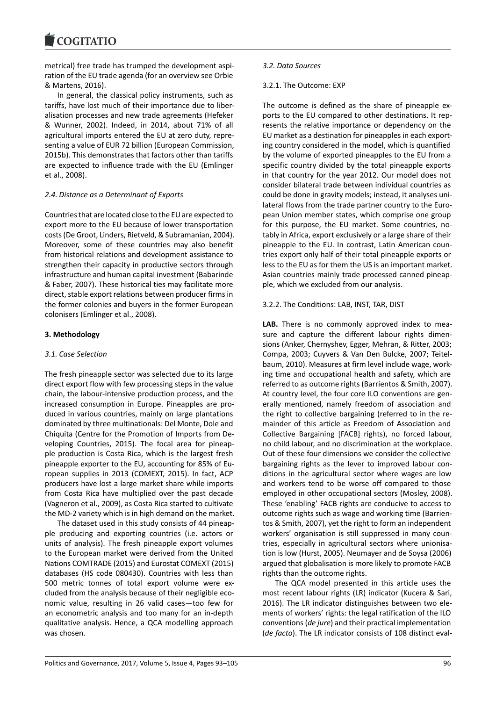metrical) free trade has trumped the development aspiration of the EU trade agenda (for an overview see Orbie & Martens, 2016).

In general, the classical policy instruments, such as tariffs, have lost much of their importance due to liberalisation processes and new trade agreements (Hefeker & Wunner, 2002). Indeed, in 2014, about 71% of all agricultural imports entered the EU at zero duty, representing a value of EUR 72 billion (European Commission, 2015b). This demonstrates that factors other than tariffs are expected to influence trade with the EU (Emlinger et al., 2008).

# *2.4. Distance as a Determinant of Exports*

Countries that are located close to the EU are expected to export more to the EU because of lower transportation costs (De Groot, Linders, Rietveld, & Subramanian, 2004). Moreover, some of these countries may also benefit from historical relations and development assistance to strengthen their capacity in productive sectors through infrastructure and human capital investment (Babarinde & Faber, 2007). These historical ties may facilitate more direct, stable export relations between producer firms in the former colonies and buyers in the former European colonisers (Emlinger et al., 2008).

# **3. Methodology**

## *3.1. Case Selection*

The fresh pineapple sector was selected due to its large direct export flow with few processing steps in the value chain, the labour-intensive production process, and the increased consumption in Europe. Pineapples are produced in various countries, mainly on large plantations dominated by three multinationals: Del Monte, Dole and Chiquita (Centre for the Promotion of Imports from Developing Countries, 2015). The focal area for pineapple production is Costa Rica, which is the largest fresh pineapple exporter to the EU, accounting for 85% of European supplies in 2013 (COMEXT, 2015). In fact, ACP producers have lost a large market share while imports from Costa Rica have multiplied over the past decade (Vagneron et al., 2009), as Costa Rica started to cultivate the MD-2 variety which is in high demand on the market.

The dataset used in this study consists of 44 pineapple producing and exporting countries (i.e. actors or units of analysis). The fresh pineapple export volumes to the European market were derived from the United Nations COMTRADE (2015) and Eurostat COMEXT (2015) databases (HS code 080430). Countries with less than 500 metric tonnes of total export volume were excluded from the analysis because of their negligible economic value, resulting in 26 valid cases—too few for an econometric analysis and too many for an in-depth qualitative analysis. Hence, a QCA modelling approach was chosen.

### *3.2. Data Sources*

## 3.2.1. The Outcome: EXP

The outcome is defined as the share of pineapple exports to the EU compared to other destinations. It represents the relative importance or dependency on the EU market as a destination for pineapples in each exporting country considered in the model, which is quantified by the volume of exported pineapples to the EU from a specific country divided by the total pineapple exports in that country for the year 2012. Our model does not consider bilateral trade between individual countries as could be done in gravity models; instead, it analyses unilateral flows from the trade partner country to the European Union member states, which comprise one group for this purpose, the EU market. Some countries, notably in Africa, export exclusively or a large share of their pineapple to the EU. In contrast, Latin American countries export only half of their total pineapple exports or less to the EU as for them the US is an important market. Asian countries mainly trade processed canned pineapple, which we excluded from our analysis.

## 3.2.2. The Conditions: LAB, INST, TAR, DIST

**LAB.** There is no commonly approved index to measure and capture the different labour rights dimensions (Anker, Chernyshev, Egger, Mehran, & Ritter, 2003; Compa, 2003; Cuyvers & Van Den Bulcke, 2007; Teitelbaum, 2010). Measures at firm level include wage, working time and occupational health and safety, which are referred to as outcome rights (Barrientos & Smith, 2007). At country level, the four core ILO conventions are generally mentioned, namely freedom of association and the right to collective bargaining (referred to in the remainder of this article as Freedom of Association and Collective Bargaining [FACB] rights), no forced labour, no child labour, and no discrimination at the workplace. Out of these four dimensions we consider the collective bargaining rights as the lever to improved labour conditions in the agricultural sector where wages are low and workers tend to be worse off compared to those employed in other occupational sectors (Mosley, 2008). These 'enabling' FACB rights are conducive to access to outcome rights such as wage and working time (Barrientos & Smith, 2007), yet the right to form an independent workers' organisation is still suppressed in many countries, especially in agricultural sectors where unionisation is low (Hurst, 2005). Neumayer and de Soysa (2006) argued that globalisation is more likely to promote FACB rights than the outcome rights.

The QCA model presented in this article uses the most recent labour rights (LR) indicator (Kucera & Sari, 2016). The LR indicator distinguishes between two elements of workers' rights: the legal ratification of the ILO conventions (*de jure*) and their practical implementation (*de facto*). The LR indicator consists of 108 distinct eval-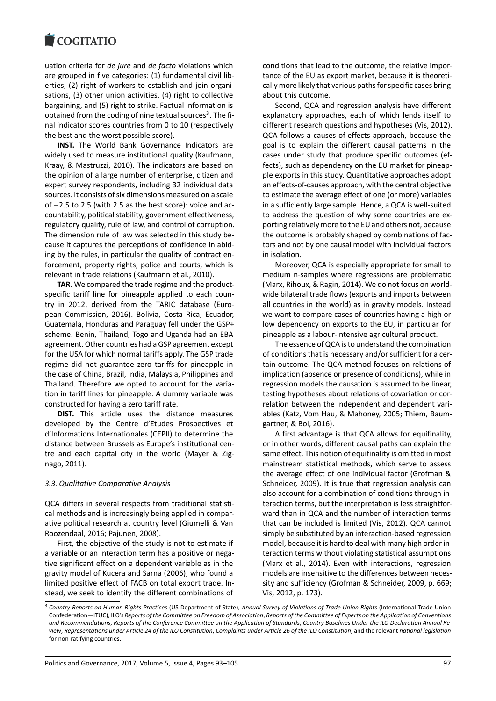uation criteria for *de jure* and *de facto* violations which are grouped in five categories: (1) fundamental civil liberties, (2) right of workers to establish and join organisations, (3) other union activities, (4) right to collective bargaining, and (5) right to strike. Factual information is obtained from the coding of nine textual sources<sup>3</sup>. The final indicator scores countries from 0 to 10 (respectively the best and the worst possible score).

**INST.** The World Bank Governance Indicators are widely used to measure institutional quality (Ka[u](#page-4-0)fmann, Kraay, & Mastruzzi, 2010). The indicators are based on the opinion of a large number of enterprise, citizen and expert survey respondents, including 32 individual data sources. It consists of six dimensions measured on a scale of −2.5 to 2.5 (with 2.5 as the best score): voice and accountability, political stability, government effectiveness, regulatory quality, rule of law, and control of corruption. The dimension rule of law was selected in this study because it captures the perceptions of confidence in abiding by the rules, in particular the quality of contract enforcement, property rights, police and courts, which is relevant in trade relations (Kaufmann et al., 2010).

**TAR.** We compared the trade regime and the productspecific tariff line for pineapple applied to each country in 2012, derived from the TARIC database (European Commission, 2016). Bolivia, Costa Rica, Ecuador, Guatemala, Honduras and Paraguay fell under the GSP+ scheme. Benin, Thailand, Togo and Uganda had an EBA agreement. Other countries had a GSP agreement except for the USA for which normal tariffs apply. The GSP trade regime did not guarantee zero tariffs for pineapple in the case of China, Brazil, India, Malaysia, Philippines and Thailand. Therefore we opted to account for the variation in tariff lines for pineapple. A dummy variable was constructed for having a zero tariff rate.

**DIST.** This article uses the distance measures developed by the Centre d'Etudes Prospectives et d'Informations Internationales (CEPII) to determine the distance between Brussels as Europe's institutional centre and each capital city in the world (Mayer & Zignago, 2011).

## *3.3. Qualitative Comparative Analysis*

QCA differs in several respects from traditional statistical methods and is increasingly being applied in comparative political research at country level (Giumelli & Van Roozendaal, 2016; Pajunen, 2008).

First, the objective of the study is not to estimate if a variable or an interaction term has a positive or negative significant effect on a dependent variable as in the gravity model of Kucera and Sarna (2006), who found a limited positive effect of FACB on total export trade. Instead, we seek to identify the different combinations of conditions that lead to the outcome, the relative importance of the EU as export market, because it is theoretically more likely that various paths for specific cases bring about this outcome.

Second, QCA and regression analysis have different explanatory approaches, each of which lends itself to different research questions and hypotheses (Vis, 2012). QCA follows a causes-of-effects approach, because the goal is to explain the different causal patterns in the cases under study that produce specific outcomes (effects), such as dependency on the EU market for pineapple exports in this study. Quantitative approaches adopt an effects-of-causes approach, with the central objective to estimate the average effect of one (or more) variables in a sufficiently large sample. Hence, a QCA is well-suited to address the question of why some countries are exporting relatively more to the EU and others not, because the outcome is probably shaped by combinations of factors and not by one causal model with individual factors in isolation.

Moreover, QCA is especially appropriate for small to medium n-samples where regressions are problematic (Marx, Rihoux, & Ragin, 2014). We do not focus on worldwide bilateral trade flows (exports and imports between all countries in the world) as in gravity models. Instead we want to compare cases of countries having a high or low dependency on exports to the EU, in particular for pineapple as a labour-intensive agricultural product.

The essence of QCA is to understand the combination of conditions that is necessary and/or sufficient for a certain outcome. The QCA method focuses on relations of implication (absence or presence of conditions), while in regression models the causation is assumed to be linear, testing hypotheses about relations of covariation or correlation between the independent and dependent variables (Katz, Vom Hau, & Mahoney, 2005; Thiem, Baumgartner, & Bol, 2016).

A first advantage is that QCA allows for equifinality, or in other words, different causal paths can explain the same effect. This notion of equifinality is omitted in most mainstream statistical methods, which serve to assess the average effect of one individual factor (Grofman & Schneider, 2009). It is true that regression analysis can also account for a combination of conditions through interaction terms, but the interpretation is less straightforward than in QCA and the number of interaction terms that can be included is limited (Vis, 2012). QCA cannot simply be substituted by an interaction-based regression model, because it is hard to deal with many high order interaction terms without violating statistical assumptions (Marx et al., 2014). Even with interactions, regression models are insensitive to the differences between necessity and sufficiency (Grofman & Schneider, 2009, p. 669; Vis, 2012, p. 173).

<span id="page-4-0"></span><sup>3</sup> *Country Reports on Human Rights Practices* (US Department of State), *Annual Survey of Violations of Trade Union Rights* (International Trade Union Confederation—ITUC), ILO's *Reports of the Committee on Freedom of Association*, *Reports of the Committee of Experts on the Application of Conventions and Recommendations*, *Reports of the Conference Committee on the Application of Standards*, *Country Baselines Under the ILO Declaration Annual Review*, *Representations under Article 24 of the ILO Constitution*, *Complaints under Article 26 of the ILO Constitution*, and the relevant *national legislation* for non-ratifying countries.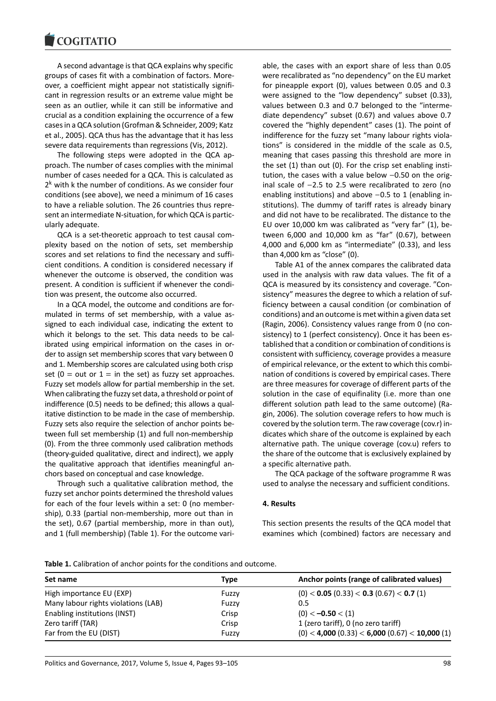#### COQUIATIO

A second advantage is that QCA explains why specific groups of cases fit with a combination of factors. Moreover, a coefficient might appear not statistically significant in regression results or an extreme value might be seen as an outlier, while it can still be informative and crucial as a condition explaining the occurrence of a few cases in a QCA solution (Grofman & Schneider, 2009; Katz et al., 2005). QCA thus has the advantage that it has less severe data requirements than regressions (Vis, 2012).

The following steps were adopted in the QCA approach. The number of cases complies with the minimal number of cases needed for a QCA. This is calculated as 2<sup>k</sup> with k the number of conditions. As we consider four conditions (see above), we need a minimum of 16 cases to have a reliable solution. The 26 countries thus represent an intermediate N-situation, for which QCA is particularly adequate.

QCA is a set-theoretic approach to test causal complexity based on the notion of sets, set membership scores and set relations to find the necessary and sufficient conditions. A condition is considered necessary if whenever the outcome is observed, the condition was present. A condition is sufficient if whenever the condition was present, the outcome also occurred.

In a QCA model, the outcome and conditions are formulated in terms of set membership, with a value assigned to each individual case, indicating the extent to which it belongs to the set. This data needs to be calibrated using empirical information on the cases in order to assign set membership scores that vary between 0 and 1. Membership scores are calculated using both crisp set ( $0 = out$  or  $1 = in$  the set) as fuzzy set approaches. Fuzzy set models allow for partial membership in the set. When calibrating the fuzzy set data, a threshold or point of indifference (0.5) needs to be defined; this allows a qualitative distinction to be made in the case of membership. Fuzzy sets also require the selection of anchor points between full set membership (1) and full non-membership (0). From the three commonly used calibration methods (theory-guided qualitative, direct and indirect), we apply the qualitative approach that identifies meaningful anchors based on conceptual and case knowledge.

Through such a qualitative calibration method, the fuzzy set anchor points determined the threshold values for each of the four levels within a set: 0 (no membership), 0.33 (partial non-membership, more out than in the set), 0.67 (partial membership, more in than out), and 1 (full membership) (Table 1). For the outcome variable, the cases with an export share of less than 0.05 were recalibrated as "no dependency" on the EU market for pineapple export (0), values between 0.05 and 0.3 were assigned to the "low dependency" subset (0.33), values between 0.3 and 0.7 belonged to the "intermediate dependency" subset (0.67) and values above 0.7 covered the "highly dependent" cases (1). The point of indifference for the fuzzy set "many labour rights violations" is considered in the middle of the scale as 0.5, meaning that cases passing this threshold are more in the set (1) than out (0). For the crisp set enabling institution, the cases with a value below −0.50 on the original scale of −2.5 to 2.5 were recalibrated to zero (no enabling institutions) and above −0.5 to 1 (enabling institutions). The dummy of tariff rates is already binary and did not have to be recalibrated. The distance to the EU over 10,000 km was calibrated as "very far" (1), between 6,000 and 10,000 km as "far" (0.67), between 4,000 and 6,000 km as "intermediate" (0.33), and less than 4,000 km as "close" (0).

Table A1 of the annex compares the calibrated data used in the analysis with raw data values. The fit of a QCA is measured by its consistency and coverage. "Consistency" measures the degree to which a relation of sufficiency between a causal condition (or combination of conditions) and an outcome is met within a given data set (Ragin, 2006). Consistency values range from 0 (no consistency) to 1 (perfect consistency). Once it has been established that a condition or combination of conditions is consistent with sufficiency, coverage provides a measure of empirical relevance, or the extent to which this combination of conditions is covered by empirical cases. There are three measures for coverage of different parts of the solution in the case of equifinality (i.e. more than one different solution path lead to the same outcome) (Ragin, 2006). The solution coverage refers to how much is covered by the solution term. The raw coverage (cov.r) indicates which share of the outcome is explained by each alternative path. The unique coverage (cov.u) refers to the share of the outcome that is exclusively explained by a specific alternative path.

The QCA package of the software programme R was used to analyse the necessary and sufficient conditions.

### **4. Results**

This section presents the results of the QCA model that examines which (combined) factors are necessary and

| Table 1. Calibration of anchor points for the conditions and outcome. |  |  |  |  |
|-----------------------------------------------------------------------|--|--|--|--|
|-----------------------------------------------------------------------|--|--|--|--|

| Set name                            | Type  | Anchor points (range of calibrated values)                      |
|-------------------------------------|-------|-----------------------------------------------------------------|
| High importance EU (EXP)            | Fuzzy | $(0)$ < <b>0.05</b> (0.33) < <b>0.3</b> (0.67) < <b>0.7</b> (1) |
| Many labour rights violations (LAB) | Fuzzy | 0.5                                                             |
| Enabling institutions (INST)        | Crisp | $(0) < -0.50 < (1)$                                             |
| Zero tariff (TAR)                   | Crisp | 1 (zero tariff), 0 (no zero tariff)                             |
| Far from the EU (DIST)              | Fuzzy | $(0)$ < 4,000 $(0.33)$ < 6,000 $(0.67)$ < 10,000 $(1)$          |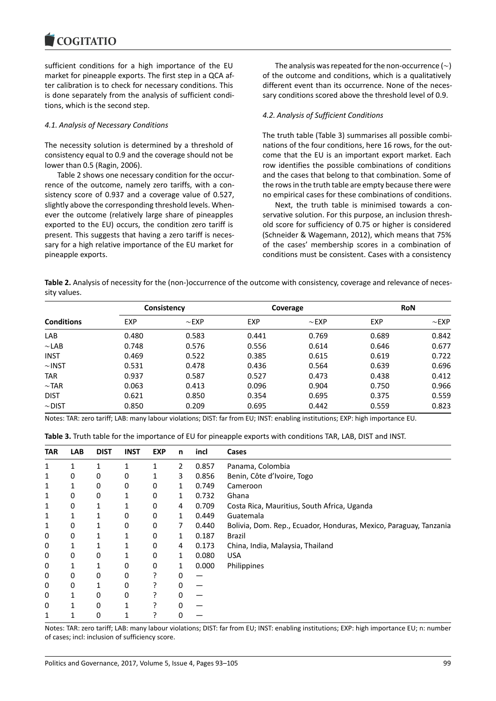#### COQUIATIO

sufficient conditions for a high importance of the EU market for pineapple exports. The first step in a QCA after calibration is to check for necessary conditions. This is done separately from the analysis of sufficient conditions, which is the second step.

### *4.1. Analysis of Necessary Conditions*

The necessity solution is determined by a threshold of consistency equal to 0.9 and the coverage should not be lower than 0.5 (Ragin, 2006).

Table 2 shows one necessary condition for the occurrence of the outcome, namely zero tariffs, with a consistency score of 0.937 and a coverage value of 0.527, slightly above the corresponding threshold levels. Whenever the outcome (relatively large share of pineapples exported to the EU) occurs, the condition zero tariff is present. This suggests that having a zero tariff is necessary for a high relative importance of the EU market for pineapple exports.

The analysis was repeated for the non-occurrence (∼) of the outcome and conditions, which is a qualitatively different event than its occurrence. None of the necessary conditions scored above the threshold level of 0.9.

# *4.2. Analysis of Sufficient Conditions*

The truth table (Table 3) summarises all possible combinations of the four conditions, here 16 rows, for the outcome that the EU is an important export market. Each row identifies the possible combinations of conditions and the cases that belong to that combination. Some of the rows in the truth table are empty because there were no empirical cases for these combinations of conditions.

Next, the truth table is minimised towards a conservative solution. For this purpose, an inclusion threshold score for sufficiency of 0.75 or higher is considered (Schneider & Wagemann, 2012), which means that 75% of the cases' membership scores in a combination of conditions must be consistent. Cases with a consistency

**Table 2.** Analysis of necessity for the (non-)occurrence of the outcome with consistency, coverage and relevance of necessity values.

| <b>Conditions</b> |            | Consistency |            | Coverage   | <b>RoN</b> |            |  |
|-------------------|------------|-------------|------------|------------|------------|------------|--|
|                   | <b>EXP</b> | $\sim$ EXP  | <b>EXP</b> | $\sim$ EXP | <b>EXP</b> | $\sim$ EXP |  |
| LAB               | 0.480      | 0.583       | 0.441      | 0.769      | 0.689      | 0.842      |  |
| $\sim$ LAB        | 0.748      | 0.576       | 0.556      | 0.614      | 0.646      | 0.677      |  |
| <b>INST</b>       | 0.469      | 0.522       | 0.385      | 0.615      | 0.619      | 0.722      |  |
| $\sim$ INST       | 0.531      | 0.478       | 0.436      | 0.564      | 0.639      | 0.696      |  |
| <b>TAR</b>        | 0.937      | 0.587       | 0.527      | 0.473      | 0.438      | 0.412      |  |
| $\sim$ TAR        | 0.063      | 0.413       | 0.096      | 0.904      | 0.750      | 0.966      |  |
| <b>DIST</b>       | 0.621      | 0.850       | 0.354      | 0.695      | 0.375      | 0.559      |  |
| $\sim$ DIST       | 0.850      | 0.209       | 0.695      | 0.442      | 0.559      | 0.823      |  |

Notes: TAR: zero tariff; LAB: many labour violations; DIST: far from EU; INST: enabling institutions; EXP: high importance EU.

| <b>TAR</b> | <b>LAB</b> | <b>DIST</b> | <b>INST</b> | <b>EXP</b> | n | incl  | Cases                                                             |
|------------|------------|-------------|-------------|------------|---|-------|-------------------------------------------------------------------|
| 1          |            |             |             | 1          | 2 | 0.857 | Panama, Colombia                                                  |
| 1          | 0          | 0           | 0           | 1          | 3 | 0.856 | Benin, Côte d'Ivoire, Togo                                        |
| 1          |            | 0           | 0           | 0          | 1 | 0.749 | Cameroon                                                          |
| 1          | 0          | 0           |             | 0          | 1 | 0.732 | Ghana                                                             |
| 1          | 0          |             |             | 0          | 4 | 0.709 | Costa Rica, Mauritius, South Africa, Uganda                       |
| 1          |            |             | 0           | $\Omega$   | 1 | 0.449 | Guatemala                                                         |
| 1          | 0          |             | 0           | $\Omega$   | 7 | 0.440 | Bolivia, Dom. Rep., Ecuador, Honduras, Mexico, Paraguay, Tanzania |
| 0          | 0          |             |             | 0          | 1 | 0.187 | Brazil                                                            |
| 0          |            |             |             | 0          | 4 | 0.173 | China, India, Malaysia, Thailand                                  |
| 0          | $\Omega$   | 0           |             | $\Omega$   | 1 | 0.080 | <b>USA</b>                                                        |
| 0          |            |             | 0           | 0          | 1 | 0.000 | Philippines                                                       |
| 0          | 0          | 0           | 0           |            | 0 |       |                                                                   |
| 0          | 0          |             | 0           |            | 0 |       |                                                                   |
| 0          |            | 0           | 0           |            | 0 |       |                                                                   |
| 0          |            | 0           |             |            | O |       |                                                                   |
| 1          |            | 0           |             |            |   |       |                                                                   |

Notes: TAR: zero tariff; LAB: many labour violations; DIST: far from EU; INST: enabling institutions; EXP: high importance EU; n: number of cases; incl: inclusion of sufficiency score.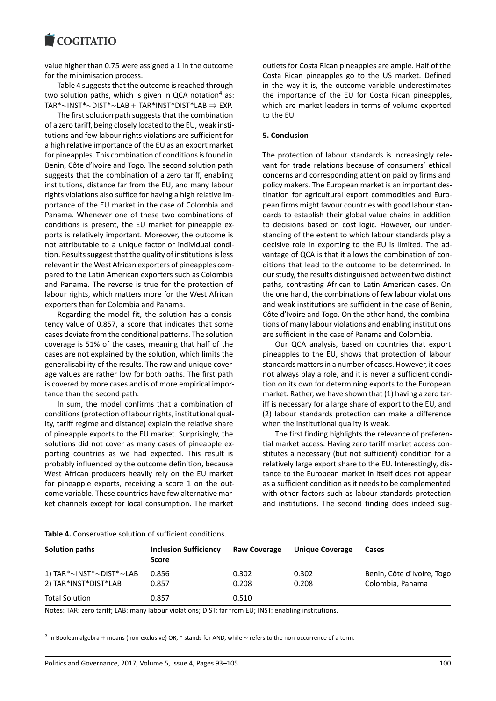value higher than 0.75 were assigned a 1 in the outcome for the minimisation process.

Table 4 suggests that the outcome is reached through two solution paths, which is given in QCA notation<sup>4</sup> as: TAR\*∼INST\*∼DIST\*∼LAB + TAR\*INST\*DIST\*LAB ⇒ EXP.

The first solution path suggests that the combination of a zero tariff, being closely located to the EU, weak institutions and few labour rights violations are sufficient for a high relative importance of the EU as an export market for pineapples. This combination of conditions is found in Benin, Côte d'Ivoire and Togo. The second solution path suggests that the combination of a zero tariff, enabling institutions, distance far from the EU, and many labour rights violations also suffice for having a high relative importance of the EU market in the case of Colombia and Panama. Whenever one of these two combinations of conditions is present, the EU market for pineapple exports is relatively important. Moreover, the outcome is not attributable to a unique factor or individual condition. Results suggest that the quality of institutions is less relevant in the West African exporters of pineapples compared to the Latin American exporters such as Colombia and Panama. The reverse is true for the protection of labour rights, which matters more for the West African exporters than for Colombia and Panama.

Regarding the model fit, the solution has a consistency value of 0.857, a score that indicates that some cases deviate from the conditional patterns. The solution coverage is 51% of the cases, meaning that half of the cases are not explained by the solution, which limits the generalisability of the results. The raw and unique coverage values are rather low for both paths. The first path is covered by more cases and is of more empirical importance than the second path.

In sum, the model confirms that a combination of conditions (protection of labour rights, institutional quality, tariff regime and distance) explain the relative share of pineapple exports to the EU market. Surprisingly, the solutions did not cover as many cases of pineapple exporting countries as we had expected. This result is probably influenced by the outcome definition, because West African producers heavily rely on the EU market for pineapple exports, receiving a score 1 on the outcome variable. These countries have few alternative market channels except for local consumption. The market outlets for Costa Rican pineapples are ample. Half of the Costa Rican pineapples go to the US market. Defined in the way it is, the outcome variable underestimates the importance of the EU for Costa Rican pineapples, which are market leaders in terms of volume exported to the EU.

#### **5. Conclusion**

The protection of labour standards is increasingly relevant for trade relations because of consumers' ethical concerns and corresponding attention paid by firms and policy makers. The European market is an important destination for agricultural export commodities and European firms might favour countries with good labour standards to establish their global value chains in addition to decisions based on cost logic. However, our understanding of the extent to which labour standards play a decisive role in exporting to the EU is limited. The advantage of QCA is that it allows the combination of conditions that lead to the outcome to be determined. In our study, the results distinguished between two distinct paths, contrasting African to Latin American cases. On the one hand, the combinations of few labour violations and weak institutions are sufficient in the case of Benin, Côte d'Ivoire and Togo. On the other hand, the combinations of many labour violations and enabling institutions are sufficient in the case of Panama and Colombia.

Our QCA analysis, based on countries that export pineapples to the EU, shows that protection of labour standards matters in a number of cases. However, it does not always play a role, and it is never a sufficient condition on its own for determining exports to the European market. Rather, we have shown that (1) having a zero tariff is necessary for a large share of export to the EU, and (2) labour standards protection can make a difference when the institutional quality is weak.

The first finding highlights the relevance of preferential market access. Having zero tariff market access constitutes a necessary (but not sufficient) condition for a relatively large export share to the EU. Interestingly, distance to the European market in itself does not appear as a sufficient condition as it needs to be complemented with other factors such as labour standards protection and institutions. The second finding does indeed sug-

| Solution paths                               | <b>Inclusion Sufficiency</b><br><b>Score</b> | <b>Raw Coverage</b> | <b>Unique Coverage</b> | Cases                      |  |  |
|----------------------------------------------|----------------------------------------------|---------------------|------------------------|----------------------------|--|--|
| 1) TAR* $\sim$ INST* $\sim$ DIST* $\sim$ LAB | 0.856                                        | 0.302               | 0.302                  | Benin, Côte d'Ivoire, Togo |  |  |
| 2) TAR*INST*DIST*LAB                         | 0.857                                        | 0.208               | 0.208                  | Colombia, Panama           |  |  |
| <b>Total Solution</b>                        | 0.857                                        | 0.510               |                        |                            |  |  |

**Table 4.** Conservative solution of sufficient conditions.

Notes: TAR: zero tariff; LAB: many labour violations; DIST: far from EU; INST: enabling institutions.

2 In Boolean algebra + means (non-exclusive) OR, \* stands for AND, while ∼ refers to the non-occurrence of a term.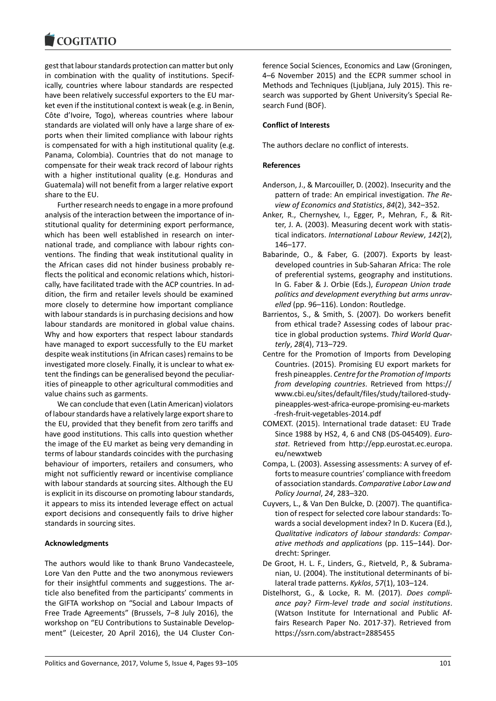#### **COMMITMENT**

gest that labour standards protection can matter but only in combination with the quality of institutions. Specifically, countries where labour standards are respected have been relatively successful exporters to the EU market even if the institutional context is weak (e.g. in Benin, Côte d'Ivoire, Togo), whereas countries where labour standards are violated will only have a large share of exports when their limited compliance with labour rights is compensated for with a high institutional quality (e.g. Panama, Colombia). Countries that do not manage to compensate for their weak track record of labour rights with a higher institutional quality (e.g. Honduras and Guatemala) will not benefit from a larger relative export share to the EU.

Further research needs to engage in a more profound analysis of the interaction between the importance of institutional quality for determining export performance, which has been well established in research on international trade, and compliance with labour rights conventions. The finding that weak institutional quality in the African cases did not hinder business probably reflects the political and economic relations which, historically, have facilitated trade with the ACP countries. In addition, the firm and retailer levels should be examined more closely to determine how important compliance with labour standards is in purchasing decisions and how labour standards are monitored in global value chains. Why and how exporters that respect labour standards have managed to export successfully to the EU market despite weak institutions (in African cases) remains to be investigated more closely. Finally, it is unclear to what extent the findings can be generalised beyond the peculiarities of pineapple to other agricultural commodities and value chains such as garments.

We can conclude that even (Latin American) violators of labour standards have a relatively large export share to the EU, provided that they benefit from zero tariffs and have good institutions. This calls into question whether the image of the EU market as being very demanding in terms of labour standards coincides with the purchasing behaviour of importers, retailers and consumers, who might not sufficiently reward or incentivise compliance with labour standards at sourcing sites. Although the EU is explicit in its discourse on promoting labour standards, it appears to miss its intended leverage effect on actual export decisions and consequently fails to drive higher standards in sourcing sites.

## **Acknowledgments**

The authors would like to thank Bruno Vandecasteele, Lore Van den Putte and the two anonymous reviewers for their insightful comments and suggestions. The article also benefited from the participants' comments in the GIFTA workshop on "Social and Labour Impacts of Free Trade Agreements" (Brussels, 7–8 July 2016), the workshop on "EU Contributions to Sustainable Development" (Leicester, 20 April 2016), the U4 Cluster Conference Social Sciences, Economics and Law (Groningen, 4–6 November 2015) and the ECPR summer school in Methods and Techniques (Ljubljana, July 2015). This research was supported by Ghent University's Special Research Fund (BOF).

# **Conflict of Interests**

The authors declare no conflict of interests.

# **References**

- Anderson, J., & Marcouiller, D. (2002). Insecurity and the pattern of trade: An empirical investigation. *The Review of Economics and Statistics*, *84*(2), 342–352.
- Anker, R., Chernyshev, I., Egger, P., Mehran, F., & Ritter, J. A. (2003). Measuring decent work with statistical indicators. *International Labour Review*, *142*(2), 146–177.
- Babarinde, O., & Faber, G. (2007). Exports by leastdeveloped countries in Sub-Saharan Africa: The role of preferential systems, geography and institutions. In G. Faber & J. Orbie (Eds.), *European Union trade politics and development everything but arms unravelled* (pp. 96–116). London: Routledge.
- Barrientos, S., & Smith, S. (2007). Do workers benefit from ethical trade? Assessing codes of labour practice in global production systems. *Third World Quarterly*, *28*(4), 713–729.
- Centre for the Promotion of Imports from Developing Countries. (2015). Promising EU export markets for fresh pineapples. *Centre for the Promotion of Imports from developing countries*. Retrieved from https:// www.cbi.eu/sites/default/files/study/tailored-studypineapples-west-africa-europe-promising-eu-markets -fresh-fruit-vegetables-2014.pdf
- COMEXT. (2015). International trade dataset: EU Trade Since 1988 by HS2, 4, 6 and CN8 (DS-045409). *Eurostat*. Retrieved from http://epp.eurostat.ec.europa. eu/newxtweb
- Compa, L. (2003). Assessing assessments: A survey of efforts to measure countries' compliance with freedom of association standards. *Comparative Labor Law and Policy Journal*, *24*, 283–320.
- Cuyvers, L., & Van Den Bulcke, D. (2007). The quantification of respect for selected core labour standards: Towards a social development index? In D. Kucera (Ed.), *Qualitative indicators of labour standards: Comparative methods and applications* (pp. 115–144). Dordrecht: Springer.
- De Groot, H. L. F., Linders, G., Rietveld, P., & Subramanian, U. (2004). The institutional determinants of bilateral trade patterns. *Kyklos*, *57*(1), 103–124.
- Distelhorst, G., & Locke, R. M. (2017). *Does compliance pay? Firm-level trade and social institutions*. (Watson Institute for International and Public Affairs Research Paper No. 2017-37). Retrieved from https://ssrn.com/abstract=2885455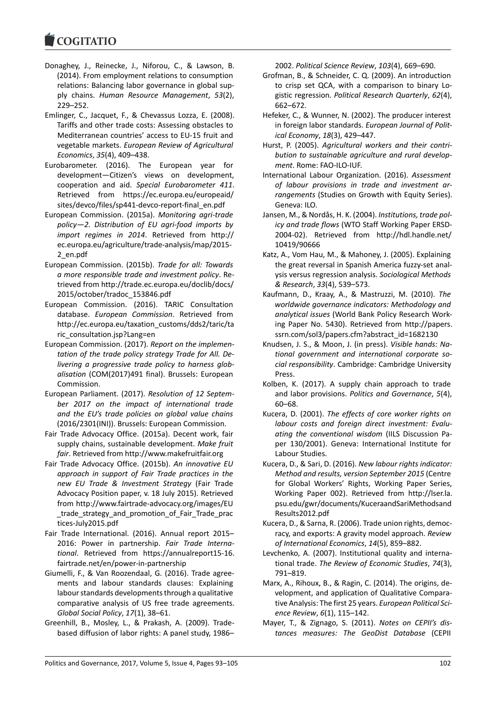#### COQUIATIO

- Donaghey, J., Reinecke, J., Niforou, C., & Lawson, B. (2014). From employment relations to consumption relations: Balancing labor governance in global supply chains. *Human Resource Management*, *53*(2), 229–252.
- Emlinger, C., Jacquet, F., & Chevassus Lozza, E. (2008). Tariffs and other trade costs: Assessing obstacles to Mediterranean countries' access to EU-15 fruit and vegetable markets. *European Review of Agricultural Economics*, *35*(4), 409–438.
- Eurobarometer. (2016). The European year for development—Citizen's views on development, cooperation and aid. *Special Eurobarometer 411*. Retrieved from https://ec.europa.eu/europeaid/ sites/devco/files/sp441-devco-report-final\_en.pdf
- European Commission. (2015a). *Monitoring agri-trade policy—2. Distribution of EU agri-food imports by import regimes in 2014*. Retrieved from http:// ec.europa.eu/agriculture/trade-analysis/map/2015- 2\_en.pdf
- European Commission. (2015b). *Trade for all: Towards a more responsible trade and investment policy*. Retrieved from http://trade.ec.europa.eu/doclib/docs/ 2015/october/tradoc\_153846.pdf
- European Commission. (2016). TARIC Consultation database. *European Commission*. Retrieved from http://ec.europa.eu/taxation\_customs/dds2/taric/ta ric\_consultation.jsp?Lang=en
- European Commission. (2017). *Report on the implementation of the trade policy strategy Trade for All. Delivering a progressive trade policy to harness globalisation* (COM(2017)491 final). Brussels: European Commission.
- European Parliament. (2017). *Resolution of 12 September 2017 on the impact of international trade and the EU's trade policies on global value chains* (2016/2301(INI)). Brussels: European Commission.
- Fair Trade Advocacy Office. (2015a). Decent work, fair supply chains, sustainable development. *Make fruit fair*. Retrieved from http://www.makefruitfair.org
- Fair Trade Advocacy Office. (2015b). *An innovative EU approach in support of Fair Trade practices in the new EU Trade & Investment Strategy* (Fair Trade Advocacy Position paper, v. 18 July 2015). Retrieved from http://www.fairtrade-advocacy.org/images/EU \_trade\_strategy\_and\_promotion\_of\_Fair\_Trade\_prac tices-July2015.pdf
- Fair Trade International. (2016). Annual report 2015– 2016: Power in partnership. *Fair Trade International*. Retrieved from https://annualreport15-16. fairtrade.net/en/power-in-partnership
- Giumelli, F., & Van Roozendaal, G. (2016). Trade agreements and labour standards clauses: Explaining labour standards developments through a qualitative comparative analysis of US free trade agreements. *Global Social Policy*, *17*(1), 38–61.
- Greenhill, B., Mosley, L., & Prakash, A. (2009). Tradebased diffusion of labor rights: A panel study, 1986–

2002. *Political Science Review*, *103*(4), 669–690.

- Grofman, B., & Schneider, C. Q. (2009). An introduction to crisp set QCA, with a comparison to binary Logistic regression. *Political Research Quarterly*, *62*(4), 662–672.
- Hefeker, C., & Wunner, N. (2002). The producer interest in foreign labor standards. *European Journal of Political Economy*, *18*(3), 429–447.
- Hurst, P. (2005). *Agricultural workers and their contribution to sustainable agriculture and rural development*. Rome: FAO-ILO-IUF.
- International Labour Organization. (2016). *Assessment of labour provisions in trade and investment arrangements* (Studies on Growth with Equity Series). Geneva: ILO.
- Jansen, M., & Nordås, H. K. (2004). *Institutions, trade policy and trade flows* (WTO Staff Working Paper ERSD-2004-02). Retrieved from http://hdl.handle.net/ 10419/90666
- Katz, A., Vom Hau, M., & Mahoney, J. (2005). Explaining the great reversal in Spanish America fuzzy-set analysis versus regression analysis. *Sociological Methods & Research*, *33*(4), 539–573.
- Kaufmann, D., Kraay, A., & Mastruzzi, M. (2010). *The worldwide governance indicators: Methodology and analytical issues* (World Bank Policy Research Working Paper No. 5430). Retrieved from http://papers. ssrn.com/sol3/papers.cfm?abstract\_id=1682130
- Knudsen, J. S., & Moon, J. (in press). *Visible hands: National government and international corporate social responsibility*. Cambridge: Cambridge University Press.
- Kolben, K. (2017). A supply chain approach to trade and labor provisions. *Politics and Governance*, *5*(4), 60–68.
- Kucera, D. (2001). *The effects of core worker rights on labour costs and foreign direct investment: Evaluating the conventional wisdom* (IILS Discussion Paper 130/2001). Geneva: International Institute for Labour Studies.
- Kucera, D., & Sari, D. (2016). *New labour rights indicator: Method and results, version September 2015* (Centre for Global Workers' Rights, Working Paper Series, Working Paper 002). Retrieved from http://lser.la. psu.edu/gwr/documents/KuceraandSariMethodsand Results2012.pdf
- Kucera, D., & Sarna, R. (2006). Trade union rights, democracy, and exports: A gravity model approach. *Review of International Economics*, *14*(5), 859–882.
- Levchenko, A. (2007). Institutional quality and international trade. *The Review of Economic Studies*, *74*(3), 791–819.
- Marx, A., Rihoux, B., & Ragin, C. (2014). The origins, development, and application of Qualitative Comparative Analysis: The first 25 years. *European Political Science Review*, *6*(1), 115–142.
- Mayer, T., & Zignago, S. (2011). *Notes on CEPII's distances measures: The GeoDist Database* (CEPII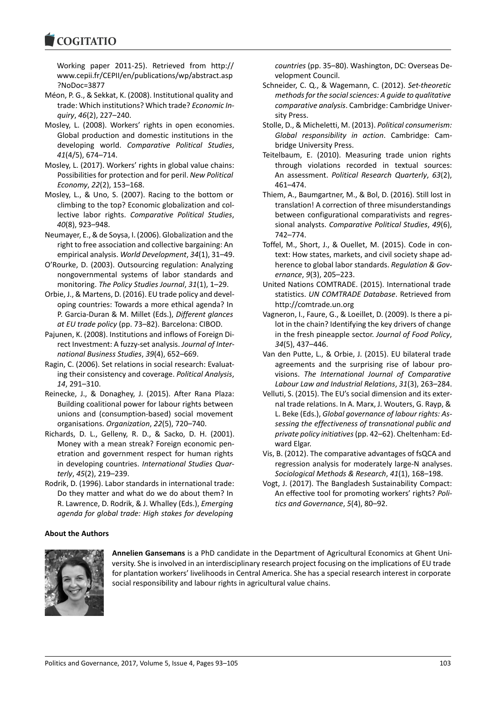Working paper 2011-25). Retrieved from http:// www.cepii.fr/CEPII/en/publications/wp/abstract.asp ?NoDoc=3877

- Méon, P. G., & Sekkat, K. (2008). Institutional quality and trade: Which institutions? Which trade? *Economic Inquiry*, *46*(2), 227–240.
- Mosley, L. (2008). Workers' rights in open economies. Global production and domestic institutions in the developing world. *Comparative Political Studies*, *41*(4/5), 674–714.
- Mosley, L. (2017). Workers' rights in global value chains: Possibilities for protection and for peril. *New Political Economy*, *22*(2), 153–168.
- Mosley, L., & Uno, S. (2007). Racing to the bottom or climbing to the top? Economic globalization and collective labor rights. *Comparative Political Studies*, *40*(8), 923–948.
- Neumayer, E., & de Soysa, I. (2006). Globalization and the right to free association and collective bargaining: An empirical analysis. *World Development*, *34*(1), 31–49.
- O'Rourke, D. (2003). Outsourcing regulation: Analyzing nongovernmental systems of labor standards and monitoring. *The Policy Studies Journal*, *31*(1), 1–29.
- Orbie, J., & Martens, D. (2016). EU trade policy and developing countries: Towards a more ethical agenda? In P. Garcia-Duran & M. Millet (Eds.), *Different glances at EU trade policy* (pp. 73–82). Barcelona: CIBOD.
- Pajunen, K. (2008). Institutions and inflows of Foreign Direct Investment: A fuzzy-set analysis. *Journal of International Business Studies*, *39*(4), 652–669.
- Ragin, C. (2006). Set relations in social research: Evaluating their consistency and coverage. *Political Analysis*, *14*, 291–310.
- Reinecke, J., & Donaghey, J. (2015). After Rana Plaza: Building coalitional power for labour rights between unions and (consumption-based) social movement organisations. *Organization*, *22*(5), 720–740.
- Richards, D. L., Gelleny, R. D., & Sacko, D. H. (2001). Money with a mean streak? Foreign economic penetration and government respect for human rights in developing countries. *International Studies Quarterly*, *45*(2), 219–239.
- Rodrik, D. (1996). Labor standards in international trade: Do they matter and what do we do about them? In R. Lawrence, D. Rodrik, & J. Whalley (Eds.), *Emerging agenda for global trade: High stakes for developing*

*countries* (pp. 35–80). Washington, DC: Overseas Development Council.

- Schneider, C. Q., & Wagemann, C. (2012). *Set-theoretic methods for the social sciences: A guide to qualitative comparative analysis*. Cambridge: Cambridge University Press.
- Stolle, D., & Micheletti, M. (2013). *Political consumerism: Global responsibility in action*. Cambridge: Cambridge University Press.
- Teitelbaum, E. (2010). Measuring trade union rights through violations recorded in textual sources: An assessment. *Political Research Quarterly*, *63*(2), 461–474.
- Thiem, A., Baumgartner, M., & Bol, D. (2016). Still lost in translation! A correction of three misunderstandings between configurational comparativists and regressional analysts. *Comparative Political Studies*, *49*(6), 742–774.
- Toffel, M., Short, J., & Ouellet, M. (2015). Code in context: How states, markets, and civil society shape adherence to global labor standards. *Regulation & Governance*, *9*(3), 205–223.
- United Nations COMTRADE. (2015). International trade statistics. *UN COMTRADE Database*. Retrieved from http://comtrade.un.org
- Vagneron, I., Faure, G., & Loeillet, D. (2009). Is there a pilot in the chain? Identifying the key drivers of change in the fresh pineapple sector. *Journal of Food Policy*, *34*(5), 437–446.
- Van den Putte, L., & Orbie, J. (2015). EU bilateral trade agreements and the surprising rise of labour provisions. *The International Journal of Comparative Labour Law and Industrial Relations*, *31*(3), 263–284.
- Velluti, S. (2015). The EU's social dimension and its external trade relations. In A. Marx, J. Wouters, G. Rayp, & L. Beke (Eds.), *Global governance of labour rights: Assessing the effectiveness of transnational public and private policy initiatives*(pp. 42–62). Cheltenham: Edward Elgar.
- Vis, B. (2012). The comparative advantages of fsQCA and regression analysis for moderately large-N analyses. *Sociological Methods & Research*, *41*(1), 168–198.
- Vogt, J. (2017). The Bangladesh Sustainability Compact: An effective tool for promoting workers' rights? *Politics and Governance*, *5*(4), 80–92.

## **About the Authors**



**Annelien Gansemans** is a PhD candidate in the Department of Agricultural Economics at Ghent University. She is involved in an interdisciplinary research project focusing on the implications of EU trade for plantation workers' livelihoods in Central America. She has a special research interest in corporate social responsibility and labour rights in agricultural value chains.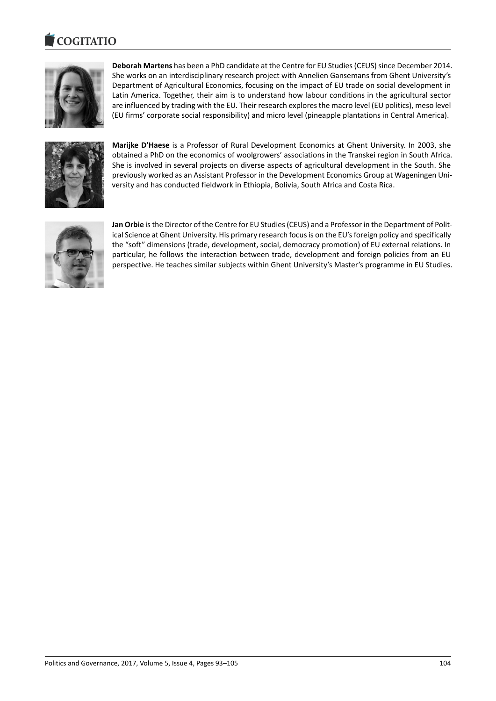#### COGITATIO



**Deborah Martens** has been a PhD candidate at the Centre for EU Studies (CEUS) since December 2014. She works on an interdisciplinary research project with Annelien Gansemans from Ghent University's Department of Agricultural Economics, focusing on the impact of EU trade on social development in Latin America. Together, their aim is to understand how labour conditions in the agricultural sector are influenced by trading with the EU. Their research explores the macro level (EU politics), meso level (EU firms' corporate social responsibility) and micro level (pineapple plantations in Central America).



**Marijke D'Haese** is a Professor of Rural Development Economics at Ghent University. In 2003, she obtained a PhD on the economics of woolgrowers' associations in the Transkei region in South Africa. She is involved in several projects on diverse aspects of agricultural development in the South. She previously worked as an Assistant Professor in the Development Economics Group at Wageningen University and has conducted fieldwork in Ethiopia, Bolivia, South Africa and Costa Rica.



**Jan Orbie** is the Director of the Centre for EU Studies (CEUS) and a Professor in the Department of Political Science at Ghent University. His primary research focus is on the EU's foreign policy and specifically the "soft" dimensions (trade, development, social, democracy promotion) of EU external relations. In particular, he follows the interaction between trade, development and foreign policies from an EU perspective. He teaches similar subjects within Ghent University's Master's programme in EU Studies.